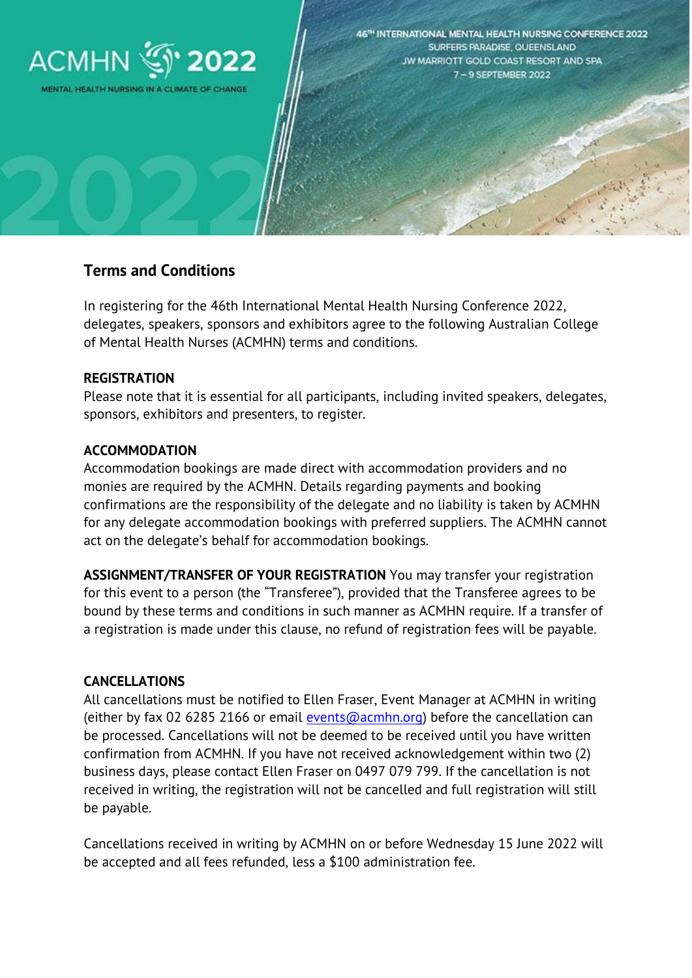

# **Terms and Conditions**

In registering for the 46th International Mental Health Nursing Conference 2022, delegates, speakers, sponsors and exhibitors agree to the following Australian College of Mental Health Nurses (ACMHN) terms and conditions.

#### **REGISTRATION**

Please note that it is essential for all participants, including invited speakers, delegates, sponsors, exhibitors and presenters, to register.

#### **ACCOMMODATION**

Accommodation bookings are made direct with accommodation providers and no monies are required by the ACMHN. Details regarding payments and booking confirmations are the responsibility of the delegate and no liability is taken by ACMHN for any delegate accommodation bookings with preferred suppliers. The ACMHN cannot act on the delegate's behalf for accommodation bookings.

**ASSIGNMENT/TRANSFER OF YOUR REGISTRATION** You may transfer your registration for this event to a person (the "Transferee"), provided that the Transferee agrees to be bound by these terms and conditions in such manner as ACMHN require. If a transfer of a registration is made under this clause, no refund of registration fees will be payable.

#### **CANCELLATIONS**

All cancellations must be notified to Ellen Fraser, Event Manager at ACMHN in writing (either by fax 02 6285 2166 or email [events@acmhn.org\)](mailto:events@acmhn.org) before the cancellation can be processed. Cancellations will not be deemed to be received until you have written confirmation from ACMHN. If you have not received acknowledgement within two (2) business days, please contact Ellen Fraser on 0497 079 799. If the cancellation is not received in writing, the registration will not be cancelled and full registration will still be payable.

Cancellations received in writing by ACMHN on or before Wednesday 15 June 2022 will be accepted and all fees refunded, less a \$100 administration fee.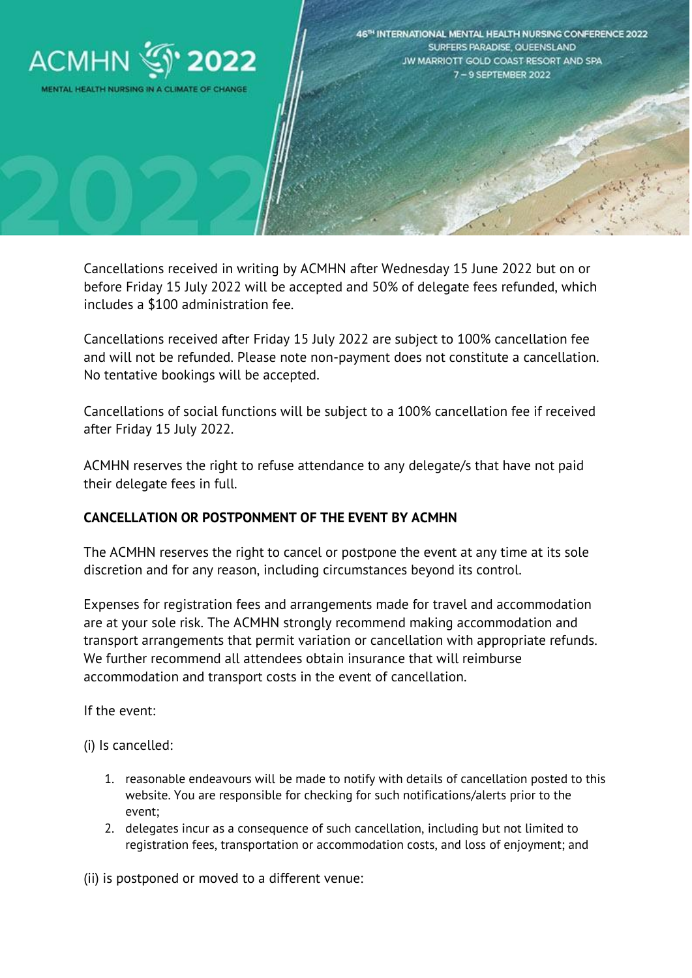

Cancellations received in writing by ACMHN after Wednesday 15 June 2022 but on or before Friday 15 July 2022 will be accepted and 50% of delegate fees refunded, which includes a \$100 administration fee.

Cancellations received after Friday 15 July 2022 are subject to 100% cancellation fee and will not be refunded. Please note non-payment does not constitute a cancellation. No tentative bookings will be accepted.

Cancellations of social functions will be subject to a 100% cancellation fee if received after Friday 15 July 2022.

ACMHN reserves the right to refuse attendance to any delegate/s that have not paid their delegate fees in full.

# **CANCELLATION OR POSTPONMENT OF THE EVENT BY ACMHN**

The ACMHN reserves the right to cancel or postpone the event at any time at its sole discretion and for any reason, including circumstances beyond its control.

Expenses for registration fees and arrangements made for travel and accommodation are at your sole risk. The ACMHN strongly recommend making accommodation and transport arrangements that permit variation or cancellation with appropriate refunds. We further recommend all attendees obtain insurance that will reimburse accommodation and transport costs in the event of cancellation.

If the event:

(i) Is cancelled:

- 1. reasonable endeavours will be made to notify with details of cancellation posted to this website. You are responsible for checking for such notifications/alerts prior to the event;
- 2. delegates incur as a consequence of such cancellation, including but not limited to registration fees, transportation or accommodation costs, and loss of enjoyment; and

(ii) is postponed or moved to a different venue: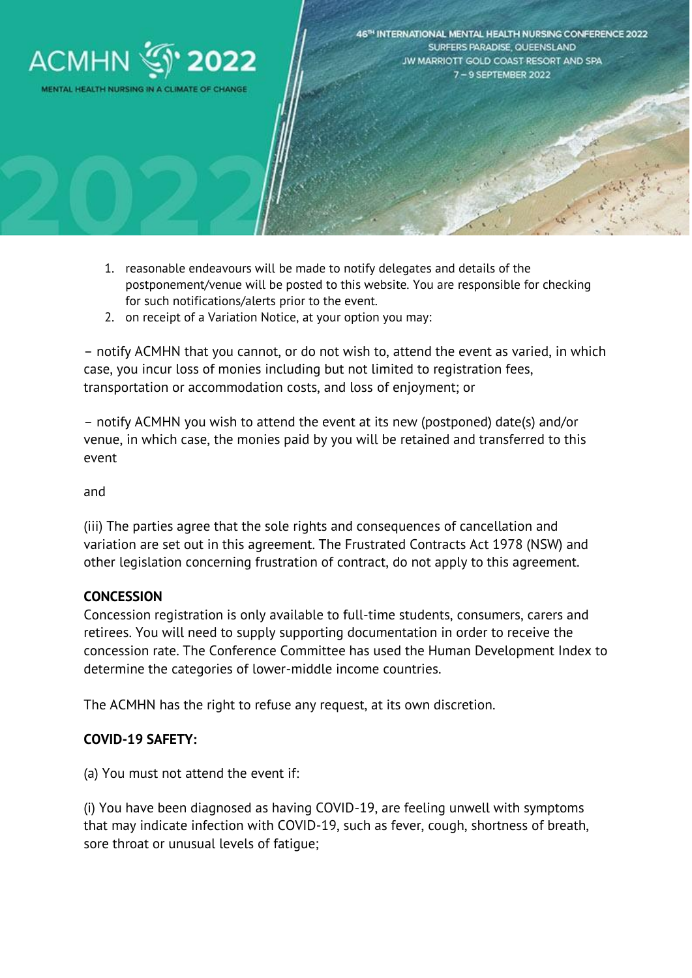

- 1. reasonable endeavours will be made to notify delegates and details of the postponement/venue will be posted to this website. You are responsible for checking for such notifications/alerts prior to the event.
- 2. on receipt of a Variation Notice, at your option you may:

– notify ACMHN that you cannot, or do not wish to, attend the event as varied, in which case, you incur loss of monies including but not limited to registration fees, transportation or accommodation costs, and loss of enjoyment; or

– notify ACMHN you wish to attend the event at its new (postponed) date(s) and/or venue, in which case, the monies paid by you will be retained and transferred to this event

and

(iii) The parties agree that the sole rights and consequences of cancellation and variation are set out in this agreement. The Frustrated Contracts Act 1978 (NSW) and other legislation concerning frustration of contract, do not apply to this agreement.

### **CONCESSION**

Concession registration is only available to full-time students, consumers, carers and retirees. You will need to supply supporting documentation in order to receive the concession rate. The Conference Committee has used the Human Development Index to determine the categories of lower-middle income countries.

The ACMHN has the right to refuse any request, at its own discretion.

### **COVID-19 SAFETY:**

(a) You must not attend the event if:

(i) You have been diagnosed as having COVID-19, are feeling unwell with symptoms that may indicate infection with COVID-19, such as fever, cough, shortness of breath, sore throat or unusual levels of fatigue;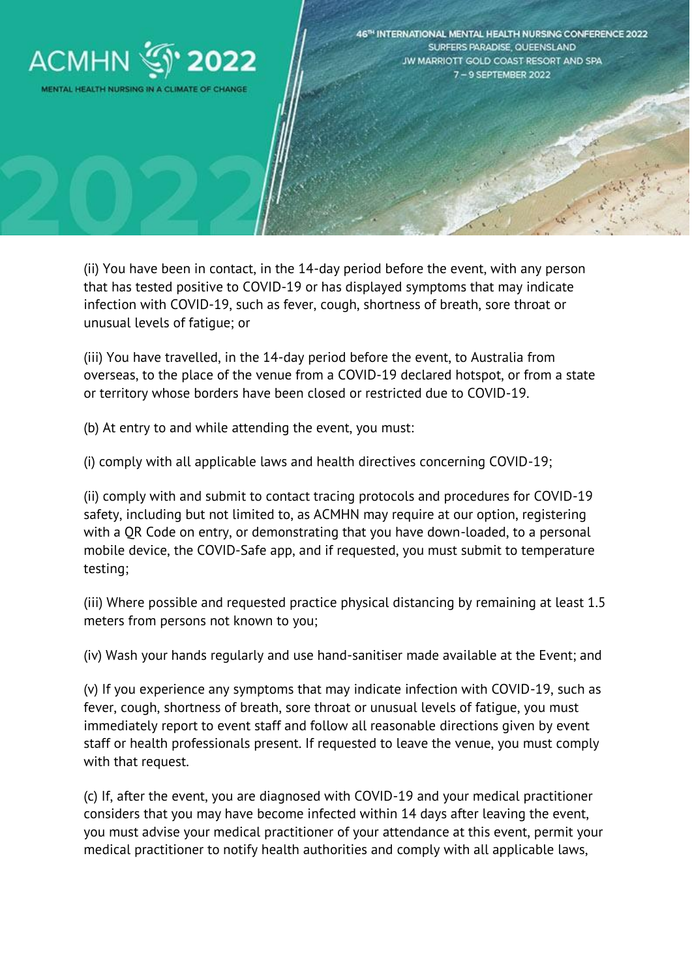

(ii) You have been in contact, in the 14-day period before the event, with any person that has tested positive to COVID-19 or has displayed symptoms that may indicate infection with COVID-19, such as fever, cough, shortness of breath, sore throat or unusual levels of fatigue; or

(iii) You have travelled, in the 14-day period before the event, to Australia from overseas, to the place of the venue from a COVID-19 declared hotspot, or from a state or territory whose borders have been closed or restricted due to COVID-19.

(b) At entry to and while attending the event, you must:

(i) comply with all applicable laws and health directives concerning COVID-19;

(ii) comply with and submit to contact tracing protocols and procedures for COVID-19 safety, including but not limited to, as ACMHN may require at our option, registering with a QR Code on entry, or demonstrating that you have down-loaded, to a personal mobile device, the COVID-Safe app, and if requested, you must submit to temperature testing;

(iii) Where possible and requested practice physical distancing by remaining at least 1.5 meters from persons not known to you;

(iv) Wash your hands regularly and use hand-sanitiser made available at the Event; and

(v) If you experience any symptoms that may indicate infection with COVID-19, such as fever, cough, shortness of breath, sore throat or unusual levels of fatigue, you must immediately report to event staff and follow all reasonable directions given by event staff or health professionals present. If requested to leave the venue, you must comply with that request.

(c) If, after the event, you are diagnosed with COVID-19 and your medical practitioner considers that you may have become infected within 14 days after leaving the event, you must advise your medical practitioner of your attendance at this event, permit your medical practitioner to notify health authorities and comply with all applicable laws,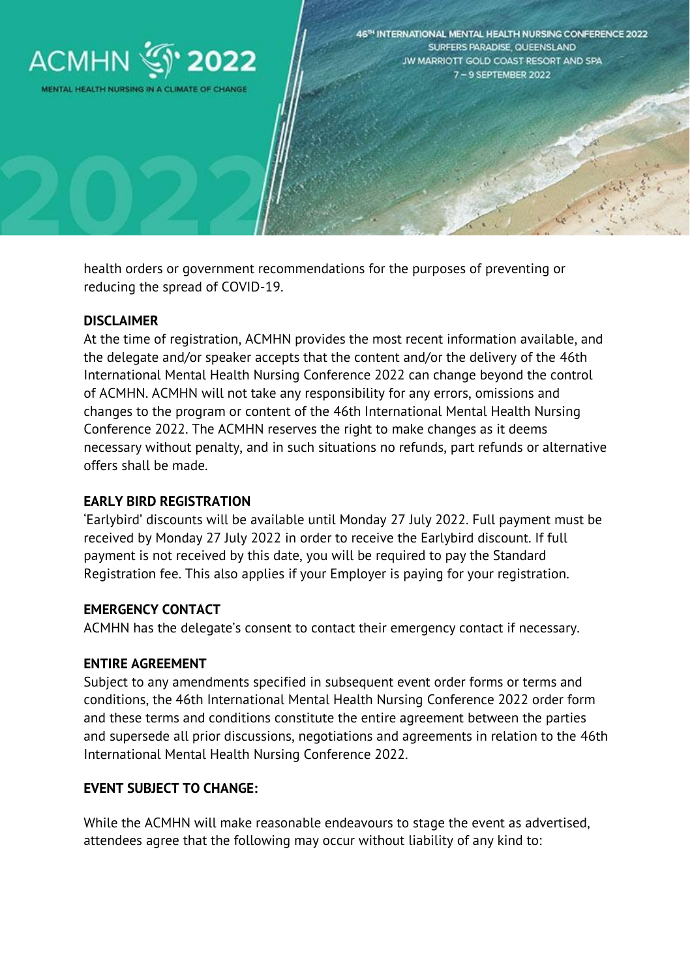

health orders or government recommendations for the purposes of preventing or reducing the spread of COVID-19.

### **DISCLAIMER**

At the time of registration, ACMHN provides the most recent information available, and the delegate and/or speaker accepts that the content and/or the delivery of the 46th International Mental Health Nursing Conference 2022 can change beyond the control of ACMHN. ACMHN will not take any responsibility for any errors, omissions and changes to the program or content of the 46th International Mental Health Nursing Conference 2022. The ACMHN reserves the right to make changes as it deems necessary without penalty, and in such situations no refunds, part refunds or alternative offers shall be made.

#### **EARLY BIRD REGISTRATION**

'Earlybird' discounts will be available until Monday 27 July 2022. Full payment must be received by Monday 27 July 2022 in order to receive the Earlybird discount. If full payment is not received by this date, you will be required to pay the Standard Registration fee. This also applies if your Employer is paying for your registration.

#### **EMERGENCY CONTACT**

ACMHN has the delegate's consent to contact their emergency contact if necessary.

#### **ENTIRE AGREEMENT**

Subject to any amendments specified in subsequent event order forms or terms and conditions, the 46th International Mental Health Nursing Conference 2022 order form and these terms and conditions constitute the entire agreement between the parties and supersede all prior discussions, negotiations and agreements in relation to the 46th International Mental Health Nursing Conference 2022.

### **EVENT SUBJECT TO CHANGE:**

While the ACMHN will make reasonable endeavours to stage the event as advertised, attendees agree that the following may occur without liability of any kind to: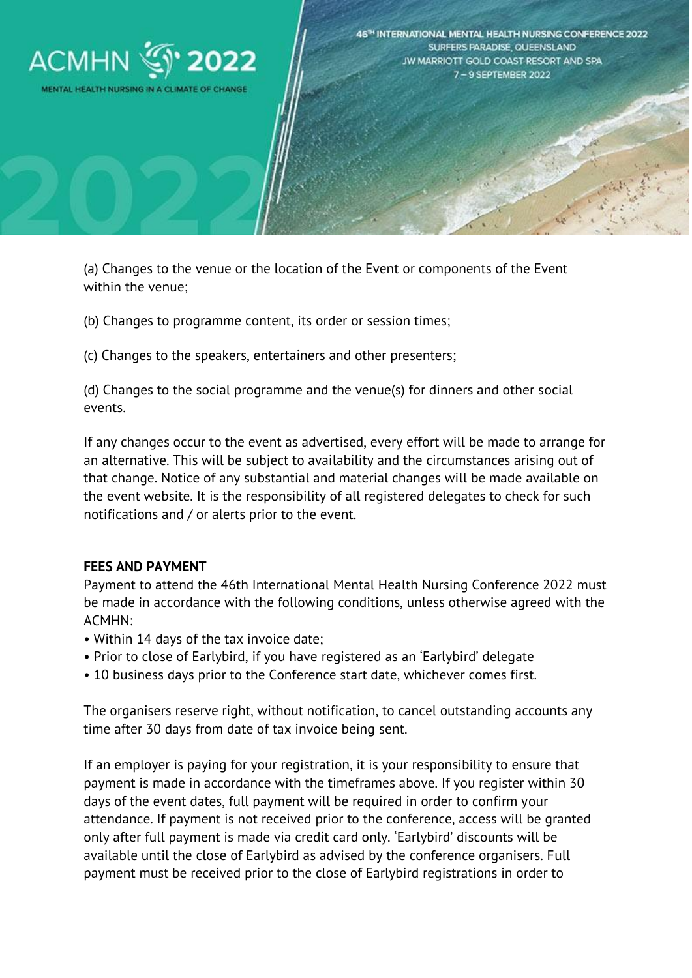

(a) Changes to the venue or the location of the Event or components of the Event within the venue;

(b) Changes to programme content, its order or session times;

(c) Changes to the speakers, entertainers and other presenters;

(d) Changes to the social programme and the venue(s) for dinners and other social events.

If any changes occur to the event as advertised, every effort will be made to arrange for an alternative. This will be subject to availability and the circumstances arising out of that change. Notice of any substantial and material changes will be made available on the event website. It is the responsibility of all registered delegates to check for such notifications and / or alerts prior to the event.

### **FEES AND PAYMENT**

Payment to attend the 46th International Mental Health Nursing Conference 2022 must be made in accordance with the following conditions, unless otherwise agreed with the ACMHN:

- Within 14 days of the tax invoice date;
- Prior to close of Earlybird, if you have registered as an 'Earlybird' delegate
- 10 business days prior to the Conference start date, whichever comes first.

The organisers reserve right, without notification, to cancel outstanding accounts any time after 30 days from date of tax invoice being sent.

If an employer is paying for your registration, it is your responsibility to ensure that payment is made in accordance with the timeframes above. If you register within 30 days of the event dates, full payment will be required in order to confirm your attendance. If payment is not received prior to the conference, access will be granted only after full payment is made via credit card only. 'Earlybird' discounts will be available until the close of Earlybird as advised by the conference organisers. Full payment must be received prior to the close of Earlybird registrations in order to